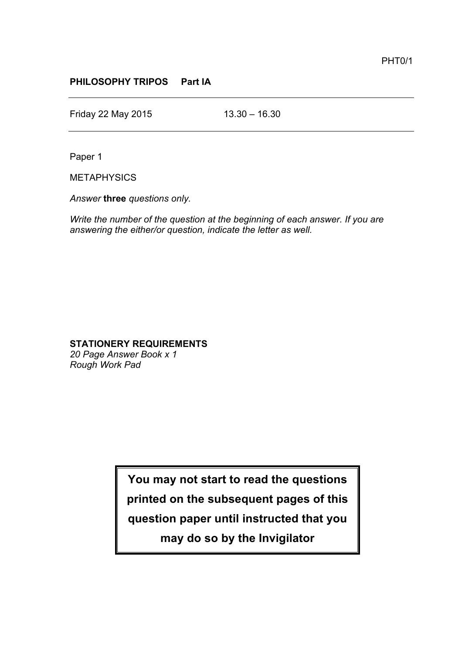## **PHILOSOPHY TRIPOS Part IA**

Friday 22 May 2015 13.30 – 16.30

Paper 1

**METAPHYSICS** 

*Answer* **three** *questions only.*

*Write the number of the question at the beginning of each answer. If you are answering the either/or question, indicate the letter as well.*

## **STATIONERY REQUIREMENTS**

*20 Page Answer Book x 1 Rough Work Pad*

> **You may not start to read the questions printed on the subsequent pages of this question paper until instructed that you may do so by the Invigilator**